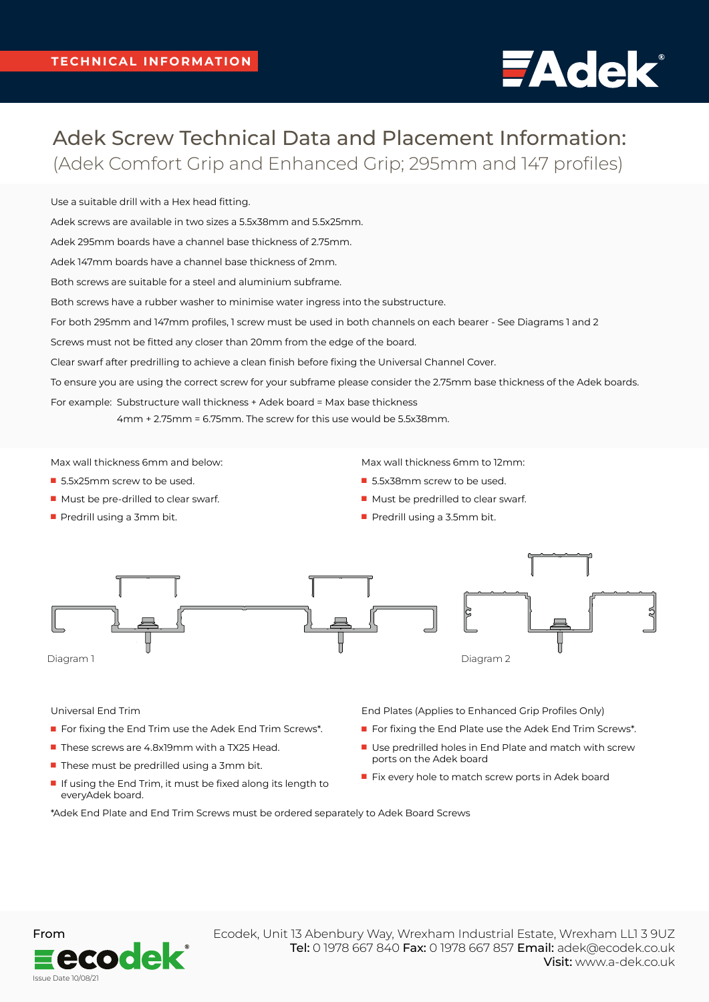## **FAdek**®

## Adek Screw Technical Data and Placement Information: (Adek Comfort Grip and Enhanced Grip; 295mm and 147 profiles)

Use a suitable drill with a Hex head fitting.

Adek screws are available in two sizes a 5.5x38mm and 5.5x25mm.

Adek 295mm boards have a channel base thickness of 2.75mm.

Adek 147mm boards have a channel base thickness of 2mm.

Both screws are suitable for a steel and aluminium subframe.

Both screws have a rubber washer to minimise water ingress into the substructure.

For both 295mm and 147mm profiles, 1 screw must be used in both channels on each bearer - See Diagrams 1 and 2

Screws must not be fitted any closer than 20mm from the edge of the board.

Clear swarf after predrilling to achieve a clean finish before fixing the Universal Channel Cover.

To ensure you are using the correct screw for your subframe please consider the 2.75mm base thickness of the Adek boards.

For example: Substructure wall thickness + Adek board = Max base thickness

4mm + 2.75mm = 6.75mm. The screw for this use would be 5.5x38mm.

Max wall thickness 6mm and below:

- 5.5x25mm screw to be used.
- $\blacksquare$  Must be pre-drilled to clear swarf.
- $\blacksquare$  Predrill using a 3mm bit.

Max wall thickness 6mm to 12mm:

- 5.5x38mm screw to be used.
- $\blacksquare$  Must be predrilled to clear swarf.
- $\blacksquare$  Predrill using a 3.5mm bit.



## Universal End Trim

- For fixing the End Trim use the Adek End Trim Screws\*.
- These screws are 4.8x19mm with a TX25 Head.
- $\blacksquare$  These must be predrilled using a 3mm bit.
- $\blacksquare$  If using the End Trim, it must be fixed along its length to everyAdek board.

\*Adek End Plate and End Trim Screws must be ordered separately to Adek Board Screws

End Plates (Applies to Enhanced Grip Profiles Only)

- For fixing the End Plate use the Adek End Trim Screws\*.
- Use predrilled holes in End Plate and match with screw ports on the Adek board
- Fix every hole to match screw ports in Adek board